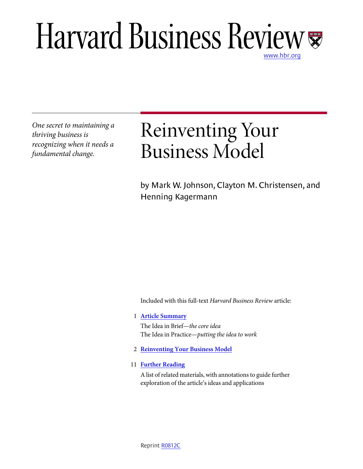## Harvard Business Review [www.hbr.org](http://www.hbr.org)

*One secret to maintaining a thriving business is recognizing when it needs a fundamental change.*

# Reinventing Your Business Model

by Mark W. Johnson, Clayton M. Christensen, and Henning Kagermann

Included with this full-text *Harvard Business Review* article:

1 **[Article Summary](#page-1-0)**

The Idea in Brief—*the core idea* The Idea in Practice—*putting the idea to work*

- 2 **[Reinventing Your Business Model](#page-2-0)**
- 11 **[Further Reading](#page-11-0)**

A list of related materials, with annotations to guide further exploration of the article's ideas and applications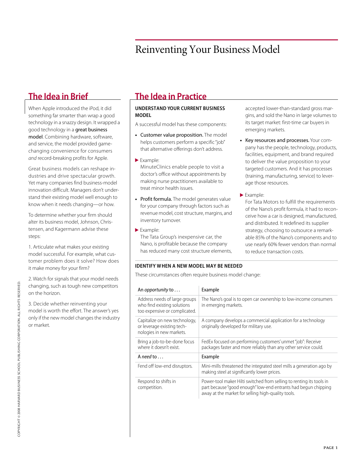## Reinventing Your Business Model

<span id="page-1-0"></span>When Apple introduced the iPod, it did something far smarter than wrap a good technology in a snazzy design. It wrapped a good technology in a great business model. Combining hardware, software, and service, the model provided gamechanging convenience for consumers and record-breaking profits for Apple.

Great business models can reshape industries and drive spectacular growth. Yet many companies find business-model innovation difficult. Managers don't understand their existing model well enough to know when it needs changing—or how.

To determine whether your firm should alter its business model, Johnson, Christensen, and Kagermann advise these steps:

1. Articulate what makes your existing model successful. For example, what customer problem does it solve? How does it make money for your firm?

2. Watch for signals that your model needs changing, such as tough new competitors on the horizon.

3. Decide whether reinventing your model is worth the effort. The answer's yes only if the new model changes the industry or market.

## **The Idea in Brief The Idea in Practice**

#### **UNDERSTAND YOUR CURRENT BUSINESS MODEL**

A successful model has these components:

- **•** Customer value proposition. The model helps customers perform a specific "job" that alternative offerings don't address.
- Example: MinuteClinics enable people to visit a doctor's office without appointments by making nurse practitioners available to treat minor health issues.
- **•** Profit formula. The model generates value for your company through factors such as revenue model, cost structure, margins, and inventory turnover.
- Example: The Tata Group's inexpensive car, the Nano, is profitable because the company has reduced many cost structure elements,

accepted lower-than-standard gross margins, and sold the Nano in large volumes to its target market: first-time car buyers in emerging markets.

- **•** Key resources and processes. Your company has the people, technology, products, facilities, equipment, and brand required to deliver the value proposition to your targeted customers. And it has processes (training, manufacturing, service) to leverage those resources.
- Example: For Tata Motors to fulfill the requirements of the Nano's profit formula, it had to reconceive how a car is designed, manufactured, and distributed. It redefined its supplier strategy, choosing to outsource a remarkable 85% of the Nano's components and to use nearly 60% fewer vendors than normal to reduce transaction costs.

#### **IDENTIFY W HEN A NEW MODEL MAY BE NEEDED**

These circumstances often require business model change:

| An <i>opportunity</i> to                                                                      | Example                                                                                                                                                                                      |
|-----------------------------------------------------------------------------------------------|----------------------------------------------------------------------------------------------------------------------------------------------------------------------------------------------|
| Address needs of large groups<br>who find existing solutions<br>too expensive or complicated. | The Nano's goal is to open car ownership to low-income consumers<br>in emerging markets.                                                                                                     |
| Capitalize on new technology,<br>or leverage existing tech-<br>nologies in new markets.       | A company develops a commercial application for a technology<br>originally developed for military use.                                                                                       |
| Bring a job-to-be-done focus<br>where it doesn't exist.                                       | FedEx focused on performing customers' unmet "job": Receive<br>packages faster and more reliably than any other service could.                                                               |
| A need to $\dots$                                                                             | Example                                                                                                                                                                                      |
| Fend off low-end disruptors.                                                                  | Mini-mills threatened the integrated steel mills a generation ago by<br>making steel at significantly lower prices.                                                                          |
| Respond to shifts in<br>competition.                                                          | Power-tool maker Hilti switched from selling to renting its tools in<br>part because "good enough" low-end entrants had begun chipping<br>away at the market for selling high-quality tools. |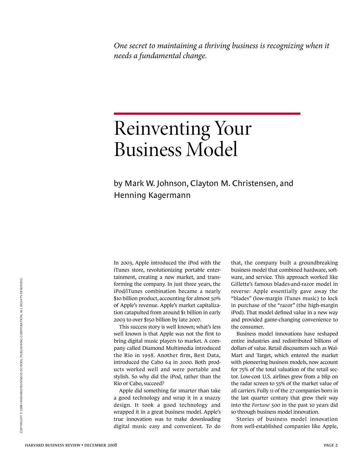*One secret to maintaining a thriving business is recognizing when it needs a fundamental change.*

## Reinventing Your Business Model

by Mark W. Johnson, Clayton M. Christensen, and Henning Kagermann

<span id="page-2-0"></span>In 2003, Apple introduced the iPod with the iTunes store, revolutionizing portable entertainment, creating a new market, and transforming the company. In just three years, the iPod/iTunes combination became a nearly \$10 billion product, accounting for almost 50% of Apple's revenue. Apple's market capitalization catapulted from around \$1 billion in early 2003 to over \$150 billion by late 2007.

This success story is well known; what's less well known is that Apple was not the first to bring digital music players to market. A company called Diamond Multimedia introduced the Rio in 1998. Another firm, Best Data, introduced the Cabo 64 in 2000. Both products worked well and were portable and stylish. So why did the iPod, rather than the Rio or Cabo, succeed?

Apple did something far smarter than take a good technology and wrap it in a snazzy design. It took a good technology and wrapped it in a great business model. Apple's true innovation was to make downloading digital music easy and convenient. To do

that, the company built a groundbreaking business model that combined hardware, software, and service. This approach worked like Gillette's famous blades-and-razor model in reverse: Apple essentially gave away the "blades" (low-margin iTunes music) to lock in purchase of the "razor" (the high-margin iPod). That model defined value in a new way and provided game-changing convenience to the consumer.

Business model innovations have reshaped entire industries and redistributed billions of dollars of value. Retail discounters such as Wal-Mart and Target, which entered the market with pioneering business models, now account for 75% of the total valuation of the retail sector. Low-cost U.S. airlines grew from a blip on the radar screen to 55% of the market value of all carriers. Fully 11 of the 27 companies born in the last quarter century that grew their way into the *Fortune* 500 in the past 10 years did so through business model innovation.

Stories of business model innovation from well-established companies like Apple,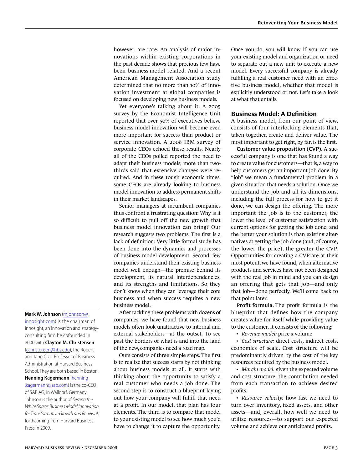however, are rare. An analysis of major innovations within existing corporations in the past decade shows that precious few have been business-model related. And a recent American Management Association study determined that no more than 10% of innovation investment at global companies is focused on developing new business models.

Yet everyone's talking about it. A 2005 survey by the Economist Intelligence Unit reported that over 50% of executives believe business model innovation will become even more important for success than product or service innovation. A 2008 IBM survey of corporate CEOs echoed these results. Nearly all of the CEOs polled reported the need to adapt their business models; more than twothirds said that extensive changes were required. And in these tough economic times, some CEOs are already looking to business model innovation to address permanent shifts in their market landscapes.

Senior managers at incumbent companies thus confront a frustrating question: Why is it so difficult to pull off the new growth that business model innovation can bring? Our research suggests two problems. The first is a lack of definition: Very little formal study has been done into the dynamics and processes of business model development. Second, few companies understand their existing business model well enough—the premise behind its development, its natural interdependencies, and its strengths and limitations. So they don't know when they can leverage their core business and when success requires a new business model.

After tackling these problems with dozens of companies, we have found that new business models often look unattractive to internal and external stakeholders—at the outset. To see past the borders of what is and into the land of the new, companies need a road map.

Ours consists of three simple steps. The first is to realize that success starts by not thinking about business models at all. It starts with thinking about the opportunity to satisfy a real customer who needs a job done. The second step is to construct a blueprint laying out how your company will fulfill that need at a profit. In our model, that plan has four elements. The third is to compare that model to your existing model to see how much you'd have to change it to capture the opportunity.

Once you do, you will know if you can use your existing model and organization or need to separate out a new unit to execute a new model. Every successful company is already fulfilling a real customer need with an effective business model, whether that model is explicitly understood or not. Let's take a look at what that entails.

#### **Business Model: A Definition**

A business model, from our point of view, consists of four interlocking elements that, taken together, create and deliver value. The most important to get right, by far, is the first.

**Customer value proposition (CVP).** A successful company is one that has found a way to create value for customers—that is, a way to help customers get an important job done. By "job" we mean a fundamental problem in a given situation that needs a solution. Once we understand the job and all its dimensions, including the full process for how to get it done, we can design the offering. The more important the job is to the customer, the lower the level of customer satisfaction with current options for getting the job done, and the better your solution is than existing alternatives at getting the job done (and, of course, the lower the price), the greater the CVP. Opportunities for creating a CVP are at their most potent, we have found, when alternative products and services have not been designed with the real job in mind and you can design an offering that gets that job—and only that job—done perfectly. We'll come back to that point later.

**Profit formula.** The profit formula is the blueprint that defines how the company creates value for itself while providing value to the customer. It consists of the following:

• *Revenue model:* price x volume

• *Cost structure:* direct costs, indirect costs, economies of scale. Cost structure will be predominantly driven by the cost of the key resources required by the business model.

• *Margin model:* given the expected volume and cost structure, the contribution needed from each transaction to achieve desired profits.

• *Resource velocity:* how fast we need to turn over inventory, fixed assets, and other assets—and, overall, how well we need to utilize resources—to support our expected volume and achieve our anticipated profits.

#### **Mark W. Johnson** ([mjohnson@](mailto:mjohnson@innosight.com)

[innosight.com\)](mailto:mjohnson@innosight.com) is the chairman of Innosight, an innovation and strategyconsulting firm he cofounded in 2000 with **Clayton M. Christensen** [\(cchristensen@hbs.edu\)](mailto:cchristensen@hbs.edu), the Robert and Jane Cizik Professor of Business Administration at Harvard Business School. They are both based in Boston. **Henning Kagermann** [\(henning](mailto:henning.kagermann@sap.com) [.kagermann@sap.com](mailto:henning.kagermann@sap.com)) is the co-CEO of SAP AG, in Walldorf, Germany. Johnson is the author of Seizing the White Space: Business Model Innovation for Transformative Growth and Renewal, forthcoming from Harvard Business Press in 2009.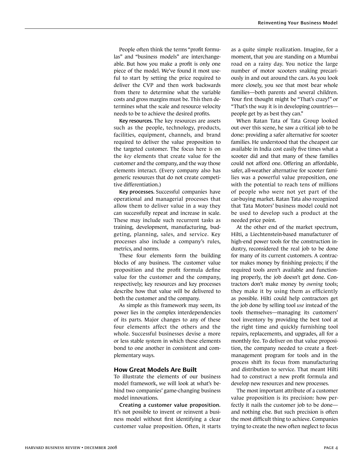People often think the terms "profit formulas" and "business models" are interchangeable. But how you make a profit is only one piece of the model. We've found it most useful to start by setting the price required to deliver the CVP and then work backwards from there to determine what the variable costs and gross margins must be. This then determines what the scale and resource velocity needs to be to achieve the desired profits.

**Key resources.** The key resources are assets such as the people, technology, products, facilities, equipment, channels, and brand required to deliver the value proposition to the targeted customer. The focus here is on the *key* elements that create value for the customer and the company, and the way those elements interact. (Every company also has generic resources that do not create competitive differentiation.)

**Key processes.** Successful companies have operational and managerial processes that allow them to deliver value in a way they can successfully repeat and increase in scale. These may include such recurrent tasks as training, development, manufacturing, budgeting, planning, sales, and service. Key processes also include a company's rules, metrics, and norms.

These four elements form the building blocks of any business. The customer value proposition and the profit formula define value for the customer and the company, respectively; key resources and key processes describe how that value will be delivered to both the customer and the company.

As simple as this framework may seem, its power lies in the complex interdependencies of its parts. Major changes to any of these four elements affect the others and the whole. Successful businesses devise a more or less stable system in which these elements bond to one another in consistent and complementary ways.

#### **How Great Models Are Built**

To illustrate the elements of our business model framework, we will look at what's behind two companies' game-changing business model innovations.

**Creating a customer value proposition.** It's not possible to invent or reinvent a business model without first identifying a clear customer value proposition. Often, it starts

as a quite simple realization. Imagine, for a moment, that you are standing on a Mumbai road on a rainy day. You notice the large number of motor scooters snaking precariously in and out around the cars. As you look more closely, you see that most bear whole families—both parents and several children. Your first thought might be "That's crazy!" or "That's the way it is in developing countries people get by as best they can."

When Ratan Tata of Tata Group looked out over this scene, he saw a critical job to be done: providing a safer alternative for scooter families. He understood that the cheapest car available in India cost easily five times what a scooter did and that many of these families could not afford one. Offering an affordable, safer, all-weather alternative for scooter families was a powerful value proposition, one with the potential to reach tens of millions of people who were not yet part of the car-buying market. Ratan Tata also recognized that Tata Motors' business model could not be used to develop such a product at the needed price point.

At the other end of the market spectrum, Hilti, a Liechtenstein-based manufacturer of high-end power tools for the construction industry, reconsidered the real job to be done for many of its current customers. A contractor makes money by finishing projects; if the required tools aren't available and functioning properly, the job doesn't get done. Contractors don't make money by *owning* tools; they make it by using them as efficiently as possible. Hilti could help contractors get the job done by selling tool *use* instead of the tools themselves—managing its customers' tool inventory by providing the best tool at the right time and quickly furnishing tool repairs, replacements, and upgrades, all for a monthly fee. To deliver on that value proposition, the company needed to create a fleetmanagement program for tools and in the process shift its focus from manufacturing and distribution to service. That meant Hilti had to construct a new profit formula and develop new resources and new processes.

The most important attribute of a customer value proposition is its precision: how perfectly it nails the customer job to be done and nothing else. But such precision is often the most difficult thing to achieve. Companies trying to create the new often neglect to focus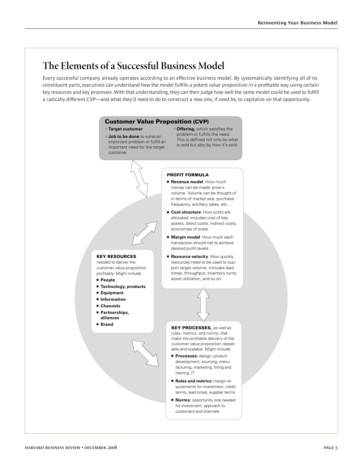## **The Elements of a Successful Business Model**

Every successful company already operates according to an effective business model. By systematically identifying all of its constituent parts, executives can understand how the model fulfills a potent value proposition in a profitable way using certain key resources and key processes. With that understanding, they can then judge how well the same model could be used to fulfill a radically different CVP—and what they'd need to do to construct a new one, if need be, to capitalize on that opportunity.

#### **Customer Value Proposition (CVP)**

#### ■ **Target customer**

**KEY RESOURCES**  needed to deliver the customer value proposition profitably. Might include:

■ **Technology, products**

■ **People**

■ **Equipment**  ■ **Information** ■ **Channels** ■ **Partnerships, alliances** ■ **Brand**

- **Job to be done** to solve an important problem or fulfill an important need for the target customer
- ■ **Offering,** which satisfies the problem or fulfills the need. This is defined not only by what is sold but also by how it's sold.

#### **PROFIT FORMULA**

- ■ **Revenue model** How much money can be made: price x volume. Volume can be thought of in terms of market size, purchase frequency, ancillary sales, etc.
- Cost structure How costs are allocated: includes cost of key assets, direct costs, indirect costs, economies of scale.
- Margin model How much each transaction should net to achieve desired profit levels.
- **Resource velocity** How quickly resources need to be used to support target volume. Includes lead times, throughput, inventory turns, asset utilization, and so on.



rules, metrics, and norms, that make the profitable delivery of the customer value proposition repeatable and scalable. Might include:

- Processes: design, product development, sourcing, manufacturing, marketing, hiring and training, IT
- ■ **Rules and metrics:** margin requirements for investment, credit terms, lead times, supplier terms
- **Norms:** opportunity size needed for investment, approach to customers and channels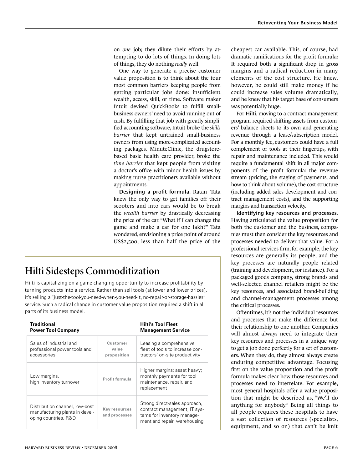on *one* job; they dilute their efforts by attempting to do lots of things. In doing lots of things, they do nothing *really* well.

One way to generate a precise customer value proposition is to think about the four most common barriers keeping people from getting particular jobs done: insufficient wealth, access, skill, or time. Software maker Intuit devised QuickBooks to fulfill smallbusiness owners' need to avoid running out of cash. By fulfilling that job with greatly simplified accounting software, Intuit broke the *skills barrier* that kept untrained small-business owners from using more-complicated accounting packages. MinuteClinic, the drugstorebased basic health care provider, broke the *time barrier* that kept people from visiting a doctor's office with minor health issues by making nurse practitioners available without appointments.

**Designing a profit formula.** Ratan Tata knew the only way to get families off their scooters and into cars would be to break the *wealth barrier* by drastically decreasing the price of the car. "What if I can change the game and make a car for one lakh?" Tata wondered, envisioning a price point of around US\$2,500, less than half the price of the

## **Hilti Sidesteps Commoditization**

Hilti is capitalizing on a game-changing opportunity to increase profitability by turning products into a service. Rather than sell tools (at lower and lower prices), it's selling a "just-the-tool-you-need-when-you-need-it, no-repair-or-storage-hassles" service. Such a radical change in customer value proposition required a shift in all parts of its business model.

| <b>Traditional</b><br><b>Power Tool Company</b>                                          |                                  | <b>Hilti's Tool Fleet</b><br><b>Management Service</b>                                                                      |
|------------------------------------------------------------------------------------------|----------------------------------|-----------------------------------------------------------------------------------------------------------------------------|
| Sales of industrial and<br>professional power tools and<br>accessories                   | Customer<br>value<br>proposition | Leasing a comprehensive<br>fleet of tools to increase con-<br>tractors' on-site productivity                                |
| Low margins,<br>high inventory turnover                                                  | Profit formula                   | Higher margins; asset heavy;<br>monthly payments for tool<br>maintenance, repair, and<br>replacement                        |
| Distribution channel, low-cost<br>manufacturing plants in devel-<br>oping countries, R&D | Key resources<br>and processes   | Strong direct-sales approach,<br>contract management, IT sys-<br>tems for inventory manage-<br>ment and repair, warehousing |

cheapest car available. This, of course, had dramatic ramifications for the profit formula: It required both a significant drop in gross margins and a radical reduction in many elements of the cost structure. He knew, however, he could still make money if he could increase sales volume dramatically, and he knew that his target base of consumers was potentially huge.

For Hilti, moving to a contract management program required shifting assets from customers' balance sheets to its own and generating revenue through a lease/subscription model. For a monthly fee, customers could have a full complement of tools at their fingertips, with repair and maintenance included. This would require a fundamental shift in all major components of the profit formula: the revenue stream (pricing, the staging of payments, and how to think about volume), the cost structure (including added sales development and contract management costs), and the supporting margins and transaction velocity.

**Identifying key resources and processes.** Having articulated the value proposition for both the customer and the business, companies must then consider the key resources and processes needed to deliver that value. For a professional services firm, for example, the key resources are generally its people, and the key processes are naturally people related (training and development, for instance). For a packaged goods company, strong brands and well-selected channel retailers might be the key resources, and associated brand-building and channel-management processes among the critical processes.

Oftentimes, it's not the individual resources and processes that make the difference but their relationship to one another. Companies will almost always need to integrate their key resources and processes in a unique way to get a job done perfectly for a set of customers. When they do, they almost always create enduring competitive advantage. Focusing first on the value proposition and the profit formula makes clear how those resources and processes need to interrelate. For example, most general hospitals offer a value proposition that might be described as, "We'll do anything for anybody." Being all things to all people requires these hospitals to have a vast collection of resources (specialists, equipment, and so on) that can't be knit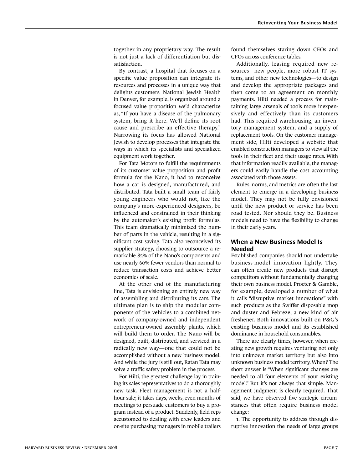together in any proprietary way. The result is not just a lack of differentiation but dissatisfaction.

By contrast, a hospital that focuses on a specific value proposition can integrate its resources and processes in a unique way that delights customers. National Jewish Health in Denver, for example, is organized around a focused value proposition we'd characterize as, "If you have a disease of the pulmonary system, bring it here. We'll define its root cause and prescribe an effective therapy." Narrowing its focus has allowed National Jewish to develop processes that integrate the ways in which its specialists and specialized equipment work together.

For Tata Motors to fulfill the requirements of its customer value proposition and profit formula for the Nano, it had to reconceive how a car is designed, manufactured, and distributed. Tata built a small team of fairly young engineers who would not, like the company's more-experienced designers, be influenced and constrained in their thinking by the automaker's existing profit formulas. This team dramatically minimized the number of parts in the vehicle, resulting in a significant cost saving. Tata also reconceived its supplier strategy, choosing to outsource a remarkable 85% of the Nano's components and use nearly 60% fewer vendors than normal to reduce transaction costs and achieve better economies of scale.

At the other end of the manufacturing line, Tata is envisioning an entirely new way of assembling and distributing its cars. The ultimate plan is to ship the modular components of the vehicles to a combined network of company-owned and independent entrepreneur-owned assembly plants, which will build them to order. The Nano will be designed, built, distributed, and serviced in a radically new way—one that could not be accomplished without a new business model. And while the jury is still out, Ratan Tata may solve a traffic safety problem in the process.

For Hilti, the greatest challenge lay in training its sales representatives to do a thoroughly new task. Fleet management is not a halfhour sale; it takes days, weeks, even months of meetings to persuade customers to buy a program instead of a product. Suddenly, field reps accustomed to dealing with crew leaders and on-site purchasing managers in mobile trailers

found themselves staring down CEOs and CFOs across conference tables.

Additionally, leasing required new resources—new people, more robust IT systems, and other new technologies—to design and develop the appropriate packages and then come to an agreement on monthly payments. Hilti needed a process for maintaining large arsenals of tools more inexpensively and effectively than its customers had. This required warehousing, an inventory management system, and a supply of replacement tools. On the customer management side, Hilti developed a website that enabled construction managers to view all the tools in their fleet and their usage rates. With that information readily available, the managers could easily handle the cost accounting associated with those assets.

Rules, norms, and metrics are often the last element to emerge in a developing business model. They may not be fully envisioned until the new product or service has been road tested. Nor should they be. Business models need to have the flexibility to change in their early years.

#### **When a New Business Model Is Needed**

Established companies should not undertake business-model innovation lightly. They can often create new products that disrupt competitors without fundamentally changing their own business model. Procter & Gamble, for example, developed a number of what it calls "disruptive market innovations" with such products as the Swiffer disposable mop and duster and Febreze, a new kind of air freshener. Both innovations built on P&G's existing business model and its established dominance in household consumables.

There are clearly times, however, when creating new growth requires venturing not only into unknown market territory but also into unknown business model territory. When? The short answer is "When significant changes are needed to all four elements of your existing model." But it's not always that simple. Management judgment is clearly required. That said, we have observed five strategic circumstances that often require business model change:

1. The opportunity to address through disruptive innovation the needs of large groups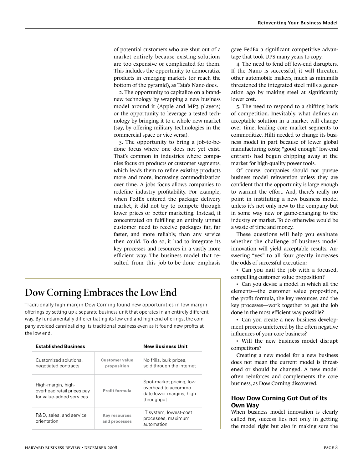of potential customers who are shut out of a market entirely because existing solutions are too expensive or complicated for them. This includes the opportunity to democratize products in emerging markets (or reach the bottom of the pyramid), as Tata's Nano does.

2. The opportunity to capitalize on a brandnew technology by wrapping a new business model around it (Apple and MP3 players) or the opportunity to leverage a tested technology by bringing it to a whole new market (say, by offering military technologies in the commercial space or vice versa).

3. The opportunity to bring a job-to-bedone focus where one does not yet exist. That's common in industries where companies focus on products or customer segments, which leads them to refine existing products more and more, increasing commoditization over time. A jobs focus allows companies to redefine industry profitability. For example, when FedEx entered the package delivery market, it did not try to compete through lower prices or better marketing. Instead, it concentrated on fulfilling an entirely unmet customer need to receive packages far, far faster, and more reliably, than any service then could. To do so, it had to integrate its key processes and resources in a vastly more efficient way. The business model that resulted from this job-to-be-done emphasis

## **Dow Corning Embraces the Low End**

Traditionally high-margin Dow Corning found new opportunities in low-margin offerings by setting up a separate business unit that operates in an entirely different way. By fundamentally differentiating its low-end and high-end offerings, the company avoided cannibalizing its traditional business even as it found new profits at the low end.

| <b>Established Business</b>                                                  |                                | <b>New Business Unit</b>                                                                   |
|------------------------------------------------------------------------------|--------------------------------|--------------------------------------------------------------------------------------------|
| Customized solutions,<br>negotiated contracts                                | Customer value<br>proposition  | No frills, bulk prices,<br>sold through the internet                                       |
| High-margin, high-<br>overhead retail prices pay<br>for value-added services | Profit formula                 | Spot-market pricing, low<br>overhead to accommo-<br>date lower margins, high<br>throughput |
| R&D, sales, and service<br>orientation                                       | Key resources<br>and processes | IT system, lowest-cost<br>processes, maximum<br>automation                                 |

gave FedEx a significant competitive advantage that took UPS many years to copy.

4. The need to fend off low-end disrupters. If the Nano is successful, it will threaten other automobile makers, much as minimills threatened the integrated steel mills a generation ago by making steel at significantly lower cost.

5. The need to respond to a shifting basis of competition. Inevitably, what defines an acceptable solution in a market will change over time, leading core market segments to commoditize. Hilti needed to change its business model in part because of lower global manufacturing costs; "good enough" low-end entrants had begun chipping away at the market for high-quality power tools.

Of course, companies should not pursue business model reinvention unless they are confident that the opportunity is large enough to warrant the effort. And, there's really no point in instituting a new business model unless it's not only new to the company but in some way new or game-changing to the industry or market. To do otherwise would be a waste of time and money.

These questions will help you evaluate whether the challenge of business model innovation will yield acceptable results. Answering "yes" to all four greatly increases the odds of successful execution:

• Can you nail the job with a focused, compelling customer value proposition?

• Can you devise a model in which all the elements—the customer value proposition, the profit formula, the key resources, and the key processes—work together to get the job done in the most efficient way possible?

• Can you create a new business development process unfettered by the often negative influences of your core business?

• Will the new business model disrupt competitors?

Creating a new model for a new business does not mean the current model is threatened or should be changed. A new model often reinforces and complements the core business, as Dow Corning discovered.

#### **How Dow Corning Got Out of Its Own Way**

When business model innovation is clearly called for, success lies not only in getting the model right but also in making sure the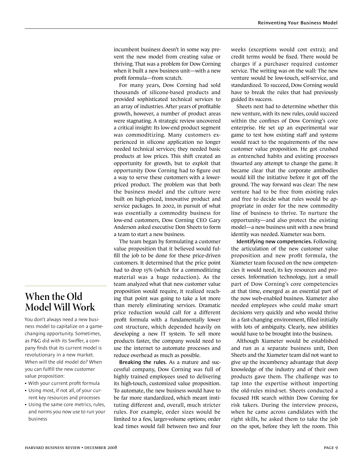incumbent business doesn't in some way prevent the new model from creating value or thriving. That was a problem for Dow Corning when it built a new business unit—with a new profit formula—from scratch.

For many years, Dow Corning had sold thousands of silicone-based products and provided sophisticated technical services to an array of industries. After years of profitable growth, however, a number of product areas were stagnating. A strategic review uncovered a critical insight: Its low-end product segment was commoditizing. Many customers experienced in silicone application no longer needed technical services; they needed basic products at low prices. This shift created an opportunity for growth, but to exploit that opportunity Dow Corning had to figure out a way to serve these customers with a lowerpriced product. The problem was that both the business model and the culture were built on high-priced, innovative product and service packages. In 2002, in pursuit of what was essentially a commodity business for low-end customers, Dow Corning CEO Gary Anderson asked executive Don Sheets to form a team to start a new business.

The team began by formulating a customer value proposition that it believed would fulfill the job to be done for these price-driven customers. It determined that the price point had to drop 15% (which for a commoditizing material was a huge reduction). As the team analyzed what that new customer value proposition would require, it realized reaching that point was going to take a lot more than merely eliminating services. Dramatic price reduction would call for a different profit formula with a fundamentally lower cost structure, which depended heavily on developing a new IT system. To sell more products faster, the company would need to use the internet to automate processes and reduce overhead as much as possible.

**Breaking the rules.** As a mature and successful company, Dow Corning was full of highly trained employees used to delivering its high-touch, customized value proposition. To automate, the new business would have to be far more standardized, which meant instituting different and, overall, much stricter rules. For example, order sizes would be limited to a few, larger-volume options; order lead times would fall between two and four

weeks (exceptions would cost extra); and credit terms would be fixed. There would be charges if a purchaser required customer service. The writing was on the wall: The new venture would be low-touch, self-service, and standardized. To succeed, Dow Corning would have to break the rules that had previously guided its success.

Sheets next had to determine whether this new venture, with its new rules, could succeed within the confines of Dow Corning's core enterprise. He set up an experimental war game to test how existing staff and systems would react to the requirements of the new customer value proposition. He got crushed as entrenched habits and existing processes thwarted any attempt to change the game. It became clear that the corporate antibodies would kill the initiative before it got off the ground. The way forward was clear: The new venture had to be free from existing rules and free to decide what rules would be appropriate in order for the new commodity line of business to thrive. To nurture the opportunity—and also protect the existing model—a new business unit with a new brand identity was needed. Xiameter was born.

**Identifying new competencies.** Following the articulation of the new customer value proposition and new profit formula, the Xiameter team focused on the new competencies it would need, its key resources and processes. Information technology, just a small part of Dow Corning's core competencies at that time, emerged as an essential part of the now web-enabled business. Xiameter also needed employees who could make smart decisions very quickly and who would thrive in a fast-changing environment, filled initially with lots of ambiguity. Clearly, new abilities would have to be brought into the business.

Although Xiameter would be established and run as a separate business unit, Don Sheets and the Xiameter team did not want to give up the incumbency advantage that deep knowledge of the industry and of their own products gave them. The challenge was to tap into the expertise without importing the old-rules mind-set. Sheets conducted a focused HR search within Dow Corning for risk takers. During the interview process, when he came across candidates with the right skills, he asked them to take the job on the spot, before they left the room. This

## **When the Old Model Will Work**

You don't always need a new business model to capitalize on a gamechanging opportunity. Sometimes, as P&G did with its Swiffer, a company finds that its current model is revolutionary in a new market. When will the old model do? When you can fulfill the new customer value proposition:

- **•** With your current profit formula
- **•** Using most, if not all, of your current key resources and processes
- **•** Using the same core metrics, rules, and norms you now use to run your business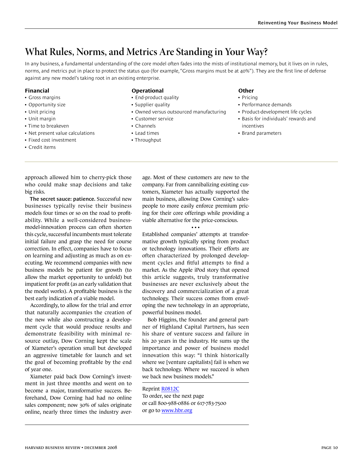## **What Rules, Norms, and Metrics Are Standing in Your Way?**

In any business, a fundamental understanding of the core model often fades into the mists of institutional memory, but it lives on in rules, norms, and metrics put in place to protect the status quo (for example, "Gross margins must be at 40%"). They are the first line of defense against any new model's taking root in an existing enterprise.

#### **Financial**

- **•** Gross margins
- **•** Opportunity size
- **•** Unit pricing
- **•** Unit margin
- **•** Time to breakeven
- **•** Net present value calculations
- **•** Fixed cost investment
- **•** Credit items

### **Operational**

- **•** End-product quality
- **•** Supplier quality
- **•** Owned versus outsourced manufacturing
- **•** Customer service
- **•** Channels
- **•** Lead times
- **•** Throughput

#### **Other**

- **•** Pricing
- **•** Performance demands
- **•** Product-development life cycles
- **•** Basis for individuals' rewards and incentives
- **•** Brand parameters

approach allowed him to cherry-pick those who could make snap decisions and take big risks.

**The secret sauce: patience.** Successful new businesses typically revise their business models four times or so on the road to profitability. While a well-considered businessmodel-innovation process can often shorten this cycle, successful incumbents must tolerate initial failure and grasp the need for course correction. In effect, companies have to focus on learning and adjusting as much as on executing. We recommend companies with new business models be patient for growth (to allow the market opportunity to unfold) but impatient for profit (as an early validation that the model works). A profitable business is the best early indication of a viable model.

Accordingly, to allow for the trial and error that naturally accompanies the creation of the new while also constructing a development cycle that would produce results and demonstrate feasibility with minimal resource outlay, Dow Corning kept the scale of Xiameter's operation small but developed an aggressive timetable for launch and set the goal of becoming profitable by the end of year one.

Xiameter paid back Dow Corning's investment in just three months and went on to become a major, transformative success. Beforehand, Dow Corning had had no online sales component; now 30% of sales originate online, nearly three times the industry aver-

age. Most of these customers are new to the company. Far from cannibalizing existing customers, Xiameter has actually supported the main business, allowing Dow Corning's salespeople to more easily enforce premium pricing for their core offerings while providing a viable alternative for the price-conscious.

#### • • •

Established companies' attempts at transformative growth typically spring from product or technology innovations. Their efforts are often characterized by prolonged development cycles and fitful attempts to find a market. As the Apple iPod story that opened this article suggests, truly transformative businesses are never exclusively about the discovery and commercialization of a great technology. Their success comes from enveloping the new technology in an appropriate, powerful business model.

Bob Higgins, the founder and general partner of Highland Capital Partners, has seen his share of venture success and failure in his 20 years in the industry. He sums up the importance and power of business model innovation this way: "I think historically where we [venture capitalists] fail is when we back technology. Where we succeed is when we back new business models."

#### Reprint [R0812C](http://harvardbusinessonline.hbsp.harvard.edu/relay.jhtml?name=itemdetail&referral=4320&id=R0812C)

To order, see the next page or call 800-988-0886 or 617-783-7500 or go to [www.hbr.org](http://www.hbr.org)